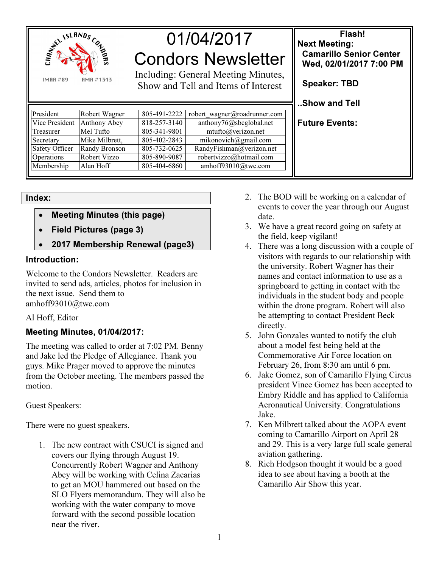

01/04/2017 Condors Newsletter

Including: General Meeting Minutes, Show and Tell and Items of Interest

| President      | Robert Wagner  | 805-491-2222 | robert wagner@roadrunner.com |
|----------------|----------------|--------------|------------------------------|
| Vice President | Anthony Abey   | 818-257-3140 | anthony76@sbcglobal.net      |
| Treasurer      | Mel Tufto      | 805-341-9801 | mtufto@verizon.net           |
| Secretary      | Mike Milbrett, | 805-402-2843 | mikonovich@gmail.com         |
| Safety Officer | Randy Bronson  | 805-732-0625 | RandyFishman@verizon.net     |
| Operations     | Robert Vizzo   | 805-890-9087 | robertvizzo@hotmail.com      |
| Membership     | Alan Hoff      | 805-404-6860 | amhoff93010@twc.com          |
|                |                |              |                              |

Index:

- Meeting Minutes (this page)
- Field Pictures (page 3)
- 2017 Membership Renewal (page3)

## Introduction:

Welcome to the Condors Newsletter. Readers are invited to send ads, articles, photos for inclusion in the next issue. Send them to amhoff93010@twc.com

## Al Hoff, Editor

## Meeting Minutes, 01/04/2017:

The meeting was called to order at 7:02 PM. Benny and Jake led the Pledge of Allegiance. Thank you guys. Mike Prager moved to approve the minutes from the October meeting. The members passed the motion.

Guest Speakers:

There were no guest speakers.

1. The new contract with CSUCI is signed and covers our flying through August 19. Concurrently Robert Wagner and Anthony Abey will be working with Celina Zacarias to get an MOU hammered out based on the SLO Flyers memorandum. They will also be working with the water company to move forward with the second possible location near the river.

2. The BOD will be working on a calendar of events to cover the year through our August date.

Flash!

 Camarillo Senior Center Wed, 02/01/2017 7:00 PM

Next Meeting:

Speaker: TBD

..Show and Tell

Future Events:

- 3. We have a great record going on safety at the field, keep vigilant!
- 4. There was a long discussion with a couple of visitors with regards to our relationship with the university. Robert Wagner has their names and contact information to use as a springboard to getting in contact with the individuals in the student body and people within the drone program. Robert will also be attempting to contact President Beck directly.
- 5. John Gonzales wanted to notify the club about a model fest being held at the Commemorative Air Force location on February 26, from 8:30 am until 6 pm.
- 6. Jake Gomez, son of Camarillo Flying Circus president Vince Gomez has been accepted to Embry Riddle and has applied to California Aeronautical University. Congratulations Jake.
- 7. Ken Milbrett talked about the AOPA event coming to Camarillo Airport on April 28 and 29. This is a very large full scale general aviation gathering.
- 8. Rich Hodgson thought it would be a good idea to see about having a booth at the Camarillo Air Show this year.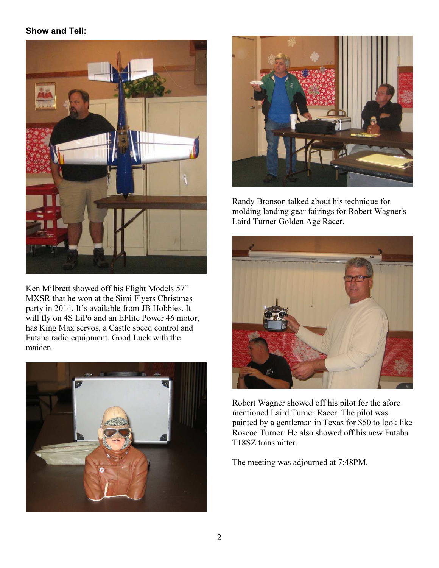# Show and Tell:



Ken Milbrett showed off his Flight Models 57" MXSR that he won at the Simi Flyers Christmas party in 2014. It's available from JB Hobbies. It will fly on 4S LiPo and an EFlite Power 46 motor, has King Max servos, a Castle speed control and Futaba radio equipment. Good Luck with the maiden.





Randy Bronson talked about his technique for molding landing gear fairings for Robert Wagner's Laird Turner Golden Age Racer.



Robert Wagner showed off his pilot for the afore mentioned Laird Turner Racer. The pilot was painted by a gentleman in Texas for \$50 to look like Roscoe Turner. He also showed off his new Futaba T18SZ transmitter.

The meeting was adjourned at 7:48PM.